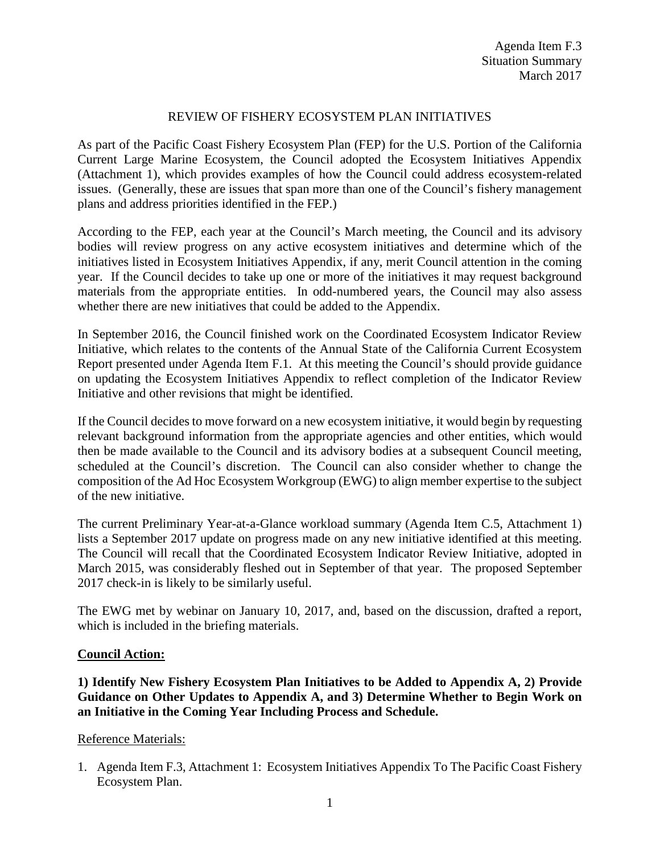## REVIEW OF FISHERY ECOSYSTEM PLAN INITIATIVES

As part of the Pacific Coast Fishery Ecosystem Plan (FEP) for the U.S. Portion of the California Current Large Marine Ecosystem, the Council adopted the Ecosystem Initiatives Appendix (Attachment 1), which provides examples of how the Council could address ecosystem-related issues. (Generally, these are issues that span more than one of the Council's fishery management plans and address priorities identified in the FEP.)

According to the FEP, each year at the Council's March meeting, the Council and its advisory bodies will review progress on any active ecosystem initiatives and determine which of the initiatives listed in Ecosystem Initiatives Appendix, if any, merit Council attention in the coming year. If the Council decides to take up one or more of the initiatives it may request background materials from the appropriate entities. In odd-numbered years, the Council may also assess whether there are new initiatives that could be added to the Appendix.

In September 2016, the Council finished work on the Coordinated Ecosystem Indicator Review Initiative, which relates to the contents of the Annual State of the California Current Ecosystem Report presented under Agenda Item F.1. At this meeting the Council's should provide guidance on updating the Ecosystem Initiatives Appendix to reflect completion of the Indicator Review Initiative and other revisions that might be identified.

If the Council decides to move forward on a new ecosystem initiative, it would begin by requesting relevant background information from the appropriate agencies and other entities, which would then be made available to the Council and its advisory bodies at a subsequent Council meeting, scheduled at the Council's discretion. The Council can also consider whether to change the composition of the Ad Hoc Ecosystem Workgroup (EWG) to align member expertise to the subject of the new initiative.

The current Preliminary Year-at-a-Glance workload summary (Agenda Item C.5, Attachment 1) lists a September 2017 update on progress made on any new initiative identified at this meeting. The Council will recall that the Coordinated Ecosystem Indicator Review Initiative, adopted in March 2015, was considerably fleshed out in September of that year. The proposed September 2017 check-in is likely to be similarly useful.

The EWG met by webinar on January 10, 2017, and, based on the discussion, drafted a report, which is included in the briefing materials.

## **Council Action:**

# **1) Identify New Fishery Ecosystem Plan Initiatives to be Added to Appendix A, 2) Provide Guidance on Other Updates to Appendix A, and 3) Determine Whether to Begin Work on an Initiative in the Coming Year Including Process and Schedule.**

## Reference Materials:

1. Agenda Item F.3, Attachment 1: Ecosystem Initiatives Appendix To The Pacific Coast Fishery Ecosystem Plan.